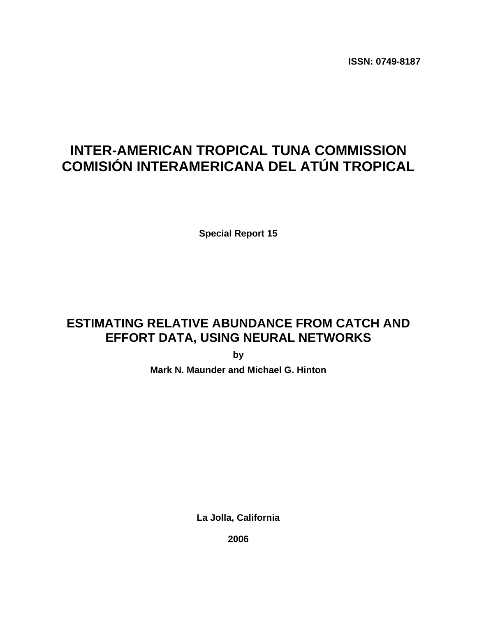**ISSN: 0749-8187** 

# **INTER-AMERICAN TROPICAL TUNA COMMISSION COMISIÓN INTERAMERICANA DEL ATÚN TROPICAL**

**Special Report 15** 

# **ESTIMATING RELATIVE ABUNDANCE FROM CATCH AND EFFORT DATA, USING NEURAL NETWORKS**

**by** 

**Mark N. Maunder and Michael G. Hinton** 

**La Jolla, California** 

**2006**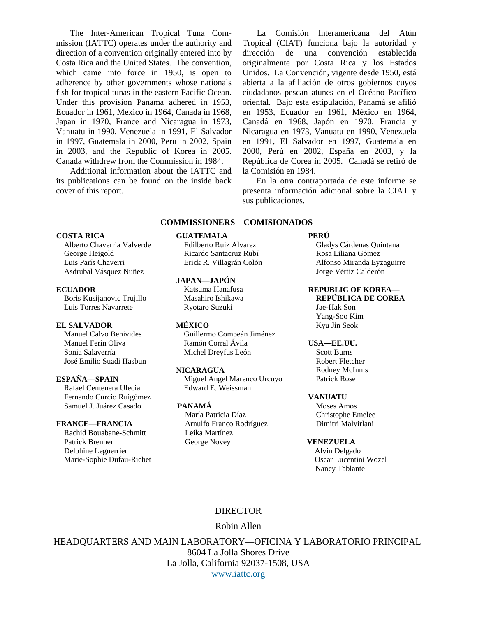The Inter-American Tropical Tuna Commission (IATTC) operates under the authority and direction of a convention originally entered into by Costa Rica and the United States. The convention, which came into force in 1950, is open to adherence by other governments whose nationals fish for tropical tunas in the eastern Pacific Ocean. Under this provision Panama adhered in 1953, Ecuador in 1961, Mexico in 1964, Canada in 1968, Japan in 1970, France and Nicaragua in 1973, Vanuatu in 1990, Venezuela in 1991, El Salvador in 1997, Guatemala in 2000, Peru in 2002, Spain in 2003, and the Republic of Korea in 2005. Canada withdrew from the Commission in 1984.

 Additional information about the IATTC and its publications can be found on the inside back cover of this report.

La Comisión Interamericana del Atún Tropical (CIAT) funciona bajo la autoridad y dirección de una convención establecida originalmente por Costa Rica y los Estados Unidos. La Convención, vigente desde 1950, está abierta a la afiliación de otros gobiernos cuyos ciudadanos pescan atunes en el Océano Pacífico oriental. Bajo esta estipulación, Panamá se afilió en 1953, Ecuador en 1961, México en 1964, Canadá en 1968, Japón en 1970, Francia y Nicaragua en 1973, Vanuatu en 1990, Venezuela en 1991, El Salvador en 1997, Guatemala en 2000, Perú en 2002, España en 2003, y la República de Corea in 2005. Canadá se retiró de la Comisión en 1984.

 En la otra contraportada de este informe se presenta información adicional sobre la CIAT y sus publicaciones.

### **COMMISSIONERS—COMISIONADOS**

### **COSTA RICA GUATEMALA PERÚ**

George Heigold **Ricardo Santacruz Rubí** Rosa Liliana Gómez Asdrubal Vásquez Nuñez Jorge Vértiz Calderón

Luis Torres Navarrete Ryotaro Suzuki Jae-Hak Son

### **EL SALVADOR MÉXICO** Kyu Jin Seok

José Emilio Suadi Hasbun Robert Fletcher

Rafael Centenera Ulecia Edward E. Weissman Fernando Curcio Ruigómez **VANUATU**  Samuel J. Juárez Casado **PANAMÁ** Moses Amos

 Rachid Bouabane-Schmitt Leika Martínez Patrick Brenner George Novey **VENEZUELA**  Delphine Leguerrier and a state of the state of the Alvin Delgado Alvin Delgado Marie-Sophie Dufau-Richet Oscar Lucentini Wozel

### **JAPAN—JAPÓN**

Manuel Calvo Benivides Guillermo Compeán Jiménez Manuel Ferín Oliva Ramón Corral Ávila **USA—EE.UU.**  Sonia Salaverría Michel Dreyfus León Scott Burns

**ESPAÑA—SPAIN** Miguel Angel Marenco Urcuyo Patrick Rose

 María Patricia Díaz Christophe Emelee **FRANCE—FRANCIA** Arnulfo Franco Rodríguez Dimitri Malvirlani

 Alberto Chaverria Valverde Edilberto Ruiz Alvarez Gladys Cárdenas Quintana Luis París Chaverri Erick R. Villagrán Colón Alfonso Miranda Eyzaguirre

## **ECUADOR** Katsuma Hanafusa **REPUBLIC OF KOREA** Boris Kusijanovic Trujillo Masahiro Ishikawa **REPÚBLICA DE COREA**

Yang-Soo Kim

**NICARAGUA** Rodney McInnis

Nancy Tablante

### DIRECTOR

## Robin Allen

HEADQUARTERS AND MAIN LABORATORY—OFICINA Y LABORATORIO PRINCIPAL

8604 La Jolla Shores Drive La Jolla, California 92037-1508, USA [www.iattc.org](http://www.iattc.org/)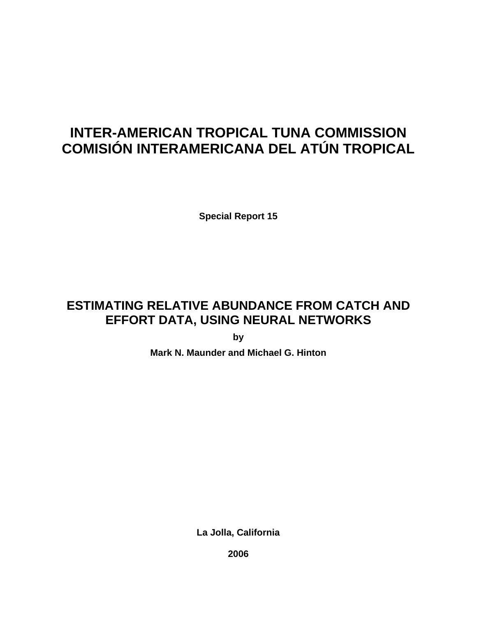# **INTER-AMERICAN TROPICAL TUNA COMMISSION COMISIÓN INTERAMERICANA DEL ATÚN TROPICAL**

**Special Report 15** 

# **ESTIMATING RELATIVE ABUNDANCE FROM CATCH AND EFFORT DATA, USING NEURAL NETWORKS**

**by** 

**Mark N. Maunder and Michael G. Hinton** 

**La Jolla, California** 

**2006**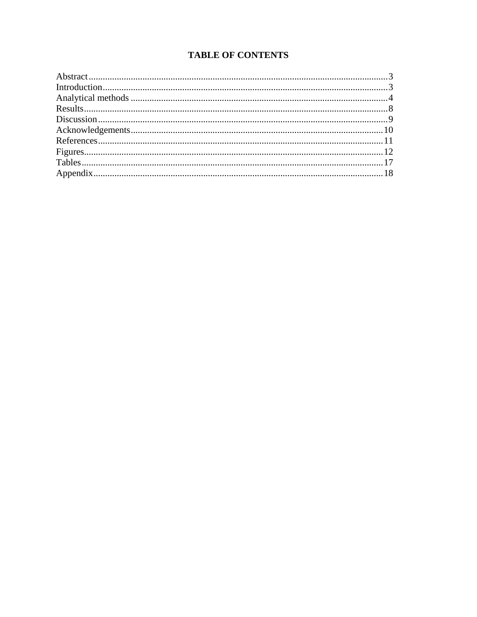## **TABLE OF CONTENTS**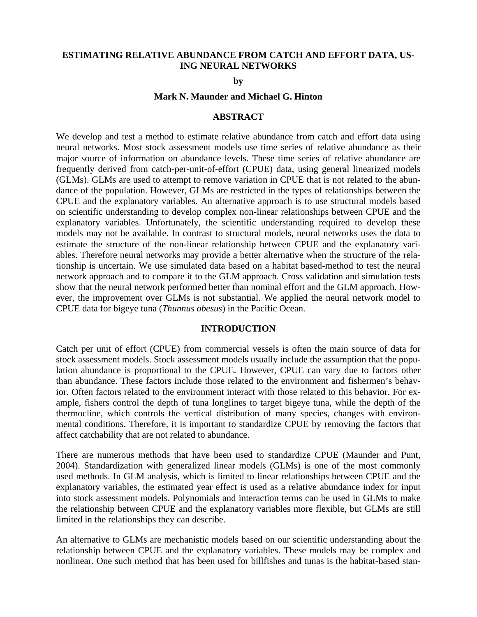## <span id="page-4-0"></span>**ESTIMATING RELATIVE ABUNDANCE FROM CATCH AND EFFORT DATA, US-ING NEURAL NETWORKS**

**by** 

### **Mark N. Maunder and Michael G. Hinton**

## **ABSTRACT**

We develop and test a method to estimate relative abundance from catch and effort data using neural networks. Most stock assessment models use time series of relative abundance as their major source of information on abundance levels. These time series of relative abundance are frequently derived from catch-per-unit-of-effort (CPUE) data, using general linearized models (GLMs). GLMs are used to attempt to remove variation in CPUE that is not related to the abundance of the population. However, GLMs are restricted in the types of relationships between the CPUE and the explanatory variables. An alternative approach is to use structural models based on scientific understanding to develop complex non-linear relationships between CPUE and the explanatory variables. Unfortunately, the scientific understanding required to develop these models may not be available. In contrast to structural models, neural networks uses the data to estimate the structure of the non-linear relationship between CPUE and the explanatory variables. Therefore neural networks may provide a better alternative when the structure of the relationship is uncertain. We use simulated data based on a habitat based-method to test the neural network approach and to compare it to the GLM approach. Cross validation and simulation tests show that the neural network performed better than nominal effort and the GLM approach. However, the improvement over GLMs is not substantial. We applied the neural network model to CPUE data for bigeye tuna (*Thunnus obesus*) in the Pacific Ocean.

### **INTRODUCTION**

Catch per unit of effort (CPUE) from commercial vessels is often the main source of data for stock assessment models. Stock assessment models usually include the assumption that the population abundance is proportional to the CPUE. However, CPUE can vary due to factors other than abundance. These factors include those related to the environment and fishermen's behavior. Often factors related to the environment interact with those related to this behavior. For example, fishers control the depth of tuna longlines to target bigeye tuna, while the depth of the thermocline, which controls the vertical distribution of many species, changes with environmental conditions. Therefore, it is important to standardize CPUE by removing the factors that affect catchability that are not related to abundance.

There are numerous methods that have been used to standardize CPUE (Maunder and Punt, 2004). Standardization with generalized linear models (GLMs) is one of the most commonly used methods. In GLM analysis, which is limited to linear relationships between CPUE and the explanatory variables, the estimated year effect is used as a relative abundance index for input into stock assessment models. Polynomials and interaction terms can be used in GLMs to make the relationship between CPUE and the explanatory variables more flexible, but GLMs are still limited in the relationships they can describe.

An alternative to GLMs are mechanistic models based on our scientific understanding about the relationship between CPUE and the explanatory variables. These models may be complex and nonlinear. One such method that has been used for billfishes and tunas is the habitat-based stan-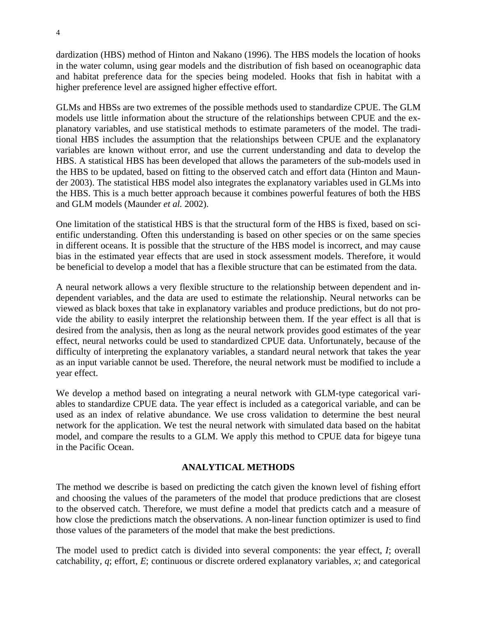<span id="page-5-0"></span>dardization (HBS) method of Hinton and Nakano (1996). The HBS models the location of hooks in the water column, using gear models and the distribution of fish based on oceanographic data and habitat preference data for the species being modeled. Hooks that fish in habitat with a higher preference level are assigned higher effective effort.

GLMs and HBSs are two extremes of the possible methods used to standardize CPUE. The GLM models use little information about the structure of the relationships between CPUE and the explanatory variables, and use statistical methods to estimate parameters of the model. The traditional HBS includes the assumption that the relationships between CPUE and the explanatory variables are known without error, and use the current understanding and data to develop the HBS. A statistical HBS has been developed that allows the parameters of the sub-models used in the HBS to be updated, based on fitting to the observed catch and effort data (Hinton and Maunder 2003). The statistical HBS model also integrates the explanatory variables used in GLMs into the HBS. This is a much better approach because it combines powerful features of both the HBS and GLM models (Maunder *et al.* 2002).

One limitation of the statistical HBS is that the structural form of the HBS is fixed, based on scientific understanding. Often this understanding is based on other species or on the same species in different oceans. It is possible that the structure of the HBS model is incorrect, and may cause bias in the estimated year effects that are used in stock assessment models. Therefore, it would be beneficial to develop a model that has a flexible structure that can be estimated from the data.

A neural network allows a very flexible structure to the relationship between dependent and independent variables, and the data are used to estimate the relationship. Neural networks can be viewed as black boxes that take in explanatory variables and produce predictions, but do not provide the ability to easily interpret the relationship between them. If the year effect is all that is desired from the analysis, then as long as the neural network provides good estimates of the year effect, neural networks could be used to standardized CPUE data. Unfortunately, because of the difficulty of interpreting the explanatory variables, a standard neural network that takes the year as an input variable cannot be used. Therefore, the neural network must be modified to include a year effect.

We develop a method based on integrating a neural network with GLM-type categorical variables to standardize CPUE data. The year effect is included as a categorical variable, and can be used as an index of relative abundance. We use cross validation to determine the best neural network for the application. We test the neural network with simulated data based on the habitat model, and compare the results to a GLM. We apply this method to CPUE data for bigeye tuna in the Pacific Ocean.

## **ANALYTICAL METHODS**

The method we describe is based on predicting the catch given the known level of fishing effort and choosing the values of the parameters of the model that produce predictions that are closest to the observed catch. Therefore, we must define a model that predicts catch and a measure of how close the predictions match the observations. A non-linear function optimizer is used to find those values of the parameters of the model that make the best predictions.

The model used to predict catch is divided into several components: the year effect, *I*; overall catchability, *q*; effort, *E*; continuous or discrete ordered explanatory variables, *x*; and categorical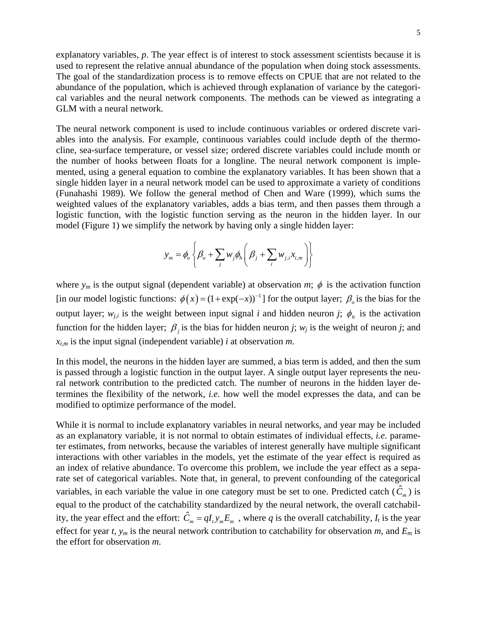explanatory variables, *p*. The year effect is of interest to stock assessment scientists because it is used to represent the relative annual abundance of the population when doing stock assessments. The goal of the standardization process is to remove effects on CPUE that are not related to the abundance of the population, which is achieved through explanation of variance by the categorical variables and the neural network components. The methods can be viewed as integrating a GLM with a neural network.

The neural network component is used to include continuous variables or ordered discrete variables into the analysis. For example, continuous variables could include depth of the thermocline, sea-surface temperature, or vessel size; ordered discrete variables could include month or the number of hooks between floats for a longline. The neural network component is implemented, using a general equation to combine the explanatory variables. It has been shown that a single hidden layer in a neural network model can be used to approximate a variety of conditions (Funahashi 1989). We follow the general method of Chen and Ware (1999), which sums the weighted values of the explanatory variables, adds a bias term, and then passes them through a logistic function, with the logistic function serving as the neuron in the hidden layer. In our model (Figure 1) we simplify the network by having only a single hidden layer:

$$
y_m = \phi_o \left\{ \beta_o + \sum_j w_j \phi_h \left( \beta_j + \sum_i w_{j,i} x_{i,m} \right) \right\}
$$

where  $y_m$  is the output signal (dependent variable) at observation *m*;  $\phi$  is the activation function [in our model logistic functions:  $\phi(x) = (1 + \exp(-x))^{-1}$ ] for the output layer;  $\beta$ <sub>o</sub> is the bias for the output layer;  $w_{j,i}$  is the weight between input signal *i* and hidden neuron *j*;  $\phi_h$  is the activation function for the hidden layer;  $\beta$  *j* is the bias for hidden neuron *j*; *w<sub>j</sub>* is the weight of neuron *j*; and  $x_{i,m}$  is the input signal (independent variable) *i* at observation *m*.

In this model, the neurons in the hidden layer are summed, a bias term is added, and then the sum is passed through a logistic function in the output layer. A single output layer represents the neural network contribution to the predicted catch. The number of neurons in the hidden layer determines the flexibility of the network, *i.e.* how well the model expresses the data, and can be modified to optimize performance of the model.

While it is normal to include explanatory variables in neural networks, and year may be included as an explanatory variable, it is not normal to obtain estimates of individual effects, *i.e.* parameter estimates, from networks, because the variables of interest generally have multiple significant interactions with other variables in the models, yet the estimate of the year effect is required as an index of relative abundance. To overcome this problem, we include the year effect as a separate set of categorical variables. Note that, in general, to prevent confounding of the categorical variables, in each variable the value in one category must be set to one. Predicted catch  $(\hat{C}_m)$  is equal to the product of the catchability standardized by the neural network, the overall catchability, the year effect and the effort:  $\hat{C}_m = qI_t y_m E_m$ , where *q* is the overall catchability,  $I_t$  is the year effect for year *t*,  $y_m$  is the neural network contribution to catchability for observation *m*, and  $E_m$  is the effort for observation *m*.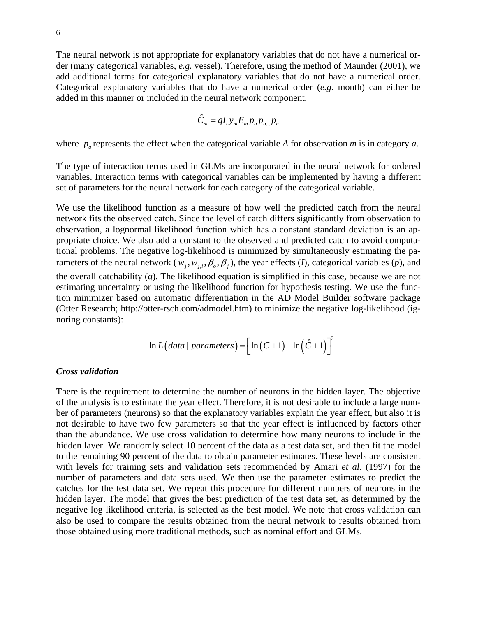The neural network is not appropriate for explanatory variables that do not have a numerical order (many categorical variables, *e.g.* vessel). Therefore, using the method of Maunder (2001), we add additional terms for categorical explanatory variables that do not have a numerical order. Categorical explanatory variables that do have a numerical order (*e.g*. month) can either be added in this manner or included in the neural network component.

$$
\hat{C}_m = qI_t y_m E_m p_a p_{b...} p_n
$$

where  $p_a$  represents the effect when the categorical variable *A* for observation *m* is in category *a*.

The type of interaction terms used in GLMs are incorporated in the neural network for ordered variables. Interaction terms with categorical variables can be implemented by having a different set of parameters for the neural network for each category of the categorical variable.

We use the likelihood function as a measure of how well the predicted catch from the neural network fits the observed catch. Since the level of catch differs significantly from observation to observation, a lognormal likelihood function which has a constant standard deviation is an appropriate choice. We also add a constant to the observed and predicted catch to avoid computational problems. The negative log-likelihood is minimized by simultaneously estimating the parameters of the neural network ( $w_i$ ,  $w_{i,i}$ ,  $\beta_o$ ,  $\beta_i$ ), the year effects (*I*), categorical variables (*p*), and the overall catchability (*q*). The likelihood equation is simplified in this case, because we are not estimating uncertainty or using the likelihood function for hypothesis testing. We use the function minimizer based on automatic differentiation in the AD Model Builder software package (Otter Research; http://otter-rsch.com/admodel.htm) to minimize the negative log-likelihood (ignoring constants):

$$
-\ln L\big(data \mid parameters\big) = \Big[\ln\big(C+1\big)-\ln\Big(\hat{C}+1\Big)\Big]^2
$$

### *Cross validation*

There is the requirement to determine the number of neurons in the hidden layer. The objective of the analysis is to estimate the year effect. Therefore, it is not desirable to include a large number of parameters (neurons) so that the explanatory variables explain the year effect, but also it is not desirable to have two few parameters so that the year effect is influenced by factors other than the abundance. We use cross validation to determine how many neurons to include in the hidden layer. We randomly select 10 percent of the data as a test data set, and then fit the model to the remaining 90 percent of the data to obtain parameter estimates. These levels are consistent with levels for training sets and validation sets recommended by Amari *et al*. (1997) for the number of parameters and data sets used. We then use the parameter estimates to predict the catches for the test data set. We repeat this procedure for different numbers of neurons in the hidden layer. The model that gives the best prediction of the test data set, as determined by the negative log likelihood criteria, is selected as the best model. We note that cross validation can also be used to compare the results obtained from the neural network to results obtained from those obtained using more traditional methods, such as nominal effort and GLMs.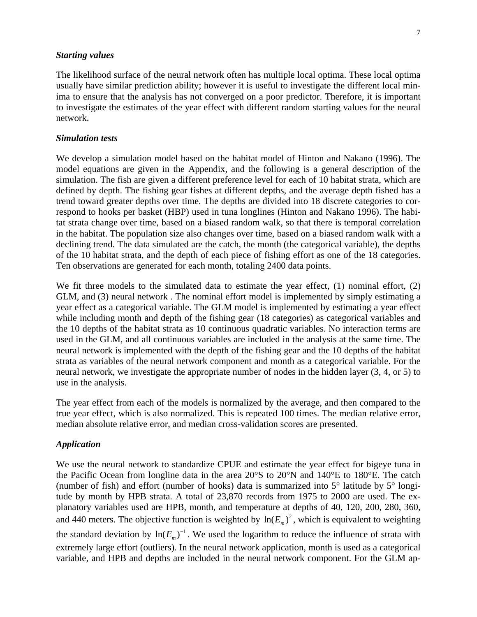### *Starting values*

The likelihood surface of the neural network often has multiple local optima. These local optima usually have similar prediction ability; however it is useful to investigate the different local minima to ensure that the analysis has not converged on a poor predictor. Therefore, it is important to investigate the estimates of the year effect with different random starting values for the neural network.

## *Simulation tests*

We develop a simulation model based on the habitat model of Hinton and Nakano (1996). The model equations are given in the Appendix, and the following is a general description of the simulation. The fish are given a different preference level for each of 10 habitat strata, which are defined by depth. The fishing gear fishes at different depths, and the average depth fished has a trend toward greater depths over time. The depths are divided into 18 discrete categories to correspond to hooks per basket (HBP) used in tuna longlines (Hinton and Nakano 1996). The habitat strata change over time, based on a biased random walk, so that there is temporal correlation in the habitat. The population size also changes over time, based on a biased random walk with a declining trend. The data simulated are the catch, the month (the categorical variable), the depths of the 10 habitat strata, and the depth of each piece of fishing effort as one of the 18 categories. Ten observations are generated for each month, totaling 2400 data points.

We fit three models to the simulated data to estimate the year effect, (1) nominal effort, (2) GLM, and (3) neural network . The nominal effort model is implemented by simply estimating a year effect as a categorical variable. The GLM model is implemented by estimating a year effect while including month and depth of the fishing gear (18 categories) as categorical variables and the 10 depths of the habitat strata as 10 continuous quadratic variables. No interaction terms are used in the GLM, and all continuous variables are included in the analysis at the same time. The neural network is implemented with the depth of the fishing gear and the 10 depths of the habitat strata as variables of the neural network component and month as a categorical variable. For the neural network, we investigate the appropriate number of nodes in the hidden layer (3, 4, or 5) to use in the analysis.

The year effect from each of the models is normalized by the average, and then compared to the true year effect, which is also normalized. This is repeated 100 times. The median relative error, median absolute relative error, and median cross-validation scores are presented.

### *Application*

We use the neural network to standardize CPUE and estimate the year effect for bigeye tuna in the Pacific Ocean from longline data in the area 20°S to 20°N and 140°E to 180°E. The catch (number of fish) and effort (number of hooks) data is summarized into 5° latitude by 5° longitude by month by HPB strata. A total of 23,870 records from 1975 to 2000 are used. The explanatory variables used are HPB, month, and temperature at depths of 40, 120, 200, 280, 360, and 440 meters. The objective function is weighted by  $ln(E_m)^2$ , which is equivalent to weighting the standard deviation by  $ln(E_m)^{-1}$ . We used the logarithm to reduce the influence of strata with extremely large effort (outliers). In the neural network application, month is used as a categorical variable, and HPB and depths are included in the neural network component. For the GLM ap-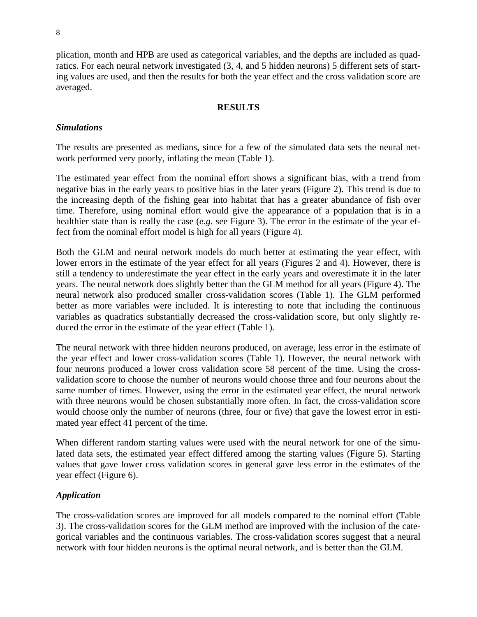<span id="page-9-0"></span>plication, month and HPB are used as categorical variables, and the depths are included as quadratics. For each neural network investigated (3, 4, and 5 hidden neurons) 5 different sets of starting values are used, and then the results for both the year effect and the cross validation score are averaged.

## **RESULTS**

## *Simulations*

The results are presented as medians, since for a few of the simulated data sets the neural network performed very poorly, inflating the mean (Table 1).

The estimated year effect from the nominal effort shows a significant bias, with a trend from negative bias in the early years to positive bias in the later years (Figure 2). This trend is due to the increasing depth of the fishing gear into habitat that has a greater abundance of fish over time. Therefore, using nominal effort would give the appearance of a population that is in a healthier state than is really the case (*e.g.* see Figure 3). The error in the estimate of the year effect from the nominal effort model is high for all years (Figure 4).

Both the GLM and neural network models do much better at estimating the year effect, with lower errors in the estimate of the year effect for all years (Figures 2 and 4). However, there is still a tendency to underestimate the year effect in the early years and overestimate it in the later years. The neural network does slightly better than the GLM method for all years (Figure 4). The neural network also produced smaller cross-validation scores (Table 1). The GLM performed better as more variables were included. It is interesting to note that including the continuous variables as quadratics substantially decreased the cross-validation score, but only slightly reduced the error in the estimate of the year effect (Table 1).

The neural network with three hidden neurons produced, on average, less error in the estimate of the year effect and lower cross-validation scores (Table 1). However, the neural network with four neurons produced a lower cross validation score 58 percent of the time. Using the crossvalidation score to choose the number of neurons would choose three and four neurons about the same number of times. However, using the error in the estimated year effect, the neural network with three neurons would be chosen substantially more often. In fact, the cross-validation score would choose only the number of neurons (three, four or five) that gave the lowest error in estimated year effect 41 percent of the time.

When different random starting values were used with the neural network for one of the simulated data sets, the estimated year effect differed among the starting values (Figure 5). Starting values that gave lower cross validation scores in general gave less error in the estimates of the year effect (Figure 6).

## *Application*

The cross-validation scores are improved for all models compared to the nominal effort (Table 3). The cross-validation scores for the GLM method are improved with the inclusion of the categorical variables and the continuous variables. The cross-validation scores suggest that a neural network with four hidden neurons is the optimal neural network, and is better than the GLM.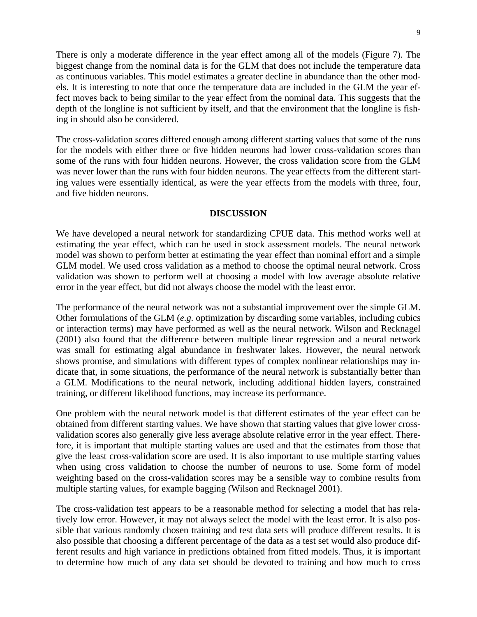<span id="page-10-0"></span>There is only a moderate difference in the year effect among all of the models (Figure 7). The biggest change from the nominal data is for the GLM that does not include the temperature data as continuous variables. This model estimates a greater decline in abundance than the other models. It is interesting to note that once the temperature data are included in the GLM the year effect moves back to being similar to the year effect from the nominal data. This suggests that the depth of the longline is not sufficient by itself, and that the environment that the longline is fishing in should also be considered.

The cross-validation scores differed enough among different starting values that some of the runs for the models with either three or five hidden neurons had lower cross-validation scores than some of the runs with four hidden neurons. However, the cross validation score from the GLM was never lower than the runs with four hidden neurons. The year effects from the different starting values were essentially identical, as were the year effects from the models with three, four, and five hidden neurons.

### **DISCUSSION**

We have developed a neural network for standardizing CPUE data. This method works well at estimating the year effect, which can be used in stock assessment models. The neural network model was shown to perform better at estimating the year effect than nominal effort and a simple GLM model. We used cross validation as a method to choose the optimal neural network. Cross validation was shown to perform well at choosing a model with low average absolute relative error in the year effect, but did not always choose the model with the least error.

The performance of the neural network was not a substantial improvement over the simple GLM. Other formulations of the GLM (*e.g.* optimization by discarding some variables, including cubics or interaction terms) may have performed as well as the neural network. Wilson and Recknagel (2001) also found that the difference between multiple linear regression and a neural network was small for estimating algal abundance in freshwater lakes. However, the neural network shows promise, and simulations with different types of complex nonlinear relationships may indicate that, in some situations, the performance of the neural network is substantially better than a GLM. Modifications to the neural network, including additional hidden layers, constrained training, or different likelihood functions, may increase its performance.

One problem with the neural network model is that different estimates of the year effect can be obtained from different starting values. We have shown that starting values that give lower crossvalidation scores also generally give less average absolute relative error in the year effect. Therefore, it is important that multiple starting values are used and that the estimates from those that give the least cross-validation score are used. It is also important to use multiple starting values when using cross validation to choose the number of neurons to use. Some form of model weighting based on the cross-validation scores may be a sensible way to combine results from multiple starting values, for example bagging (Wilson and Recknagel 2001).

The cross-validation test appears to be a reasonable method for selecting a model that has relatively low error. However, it may not always select the model with the least error. It is also possible that various randomly chosen training and test data sets will produce different results. It is also possible that choosing a different percentage of the data as a test set would also produce different results and high variance in predictions obtained from fitted models. Thus, it is important to determine how much of any data set should be devoted to training and how much to cross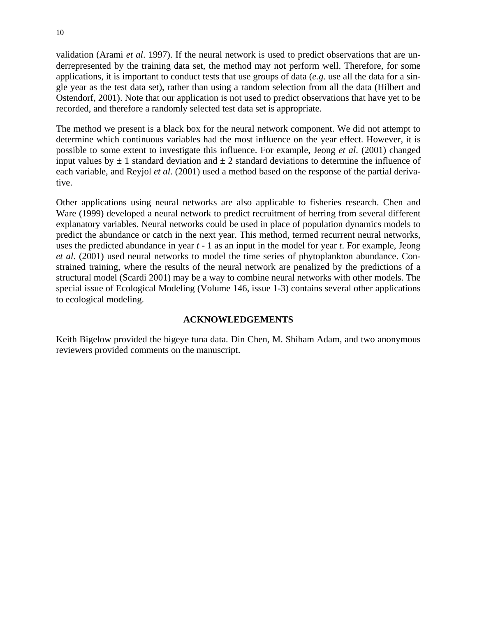<span id="page-11-0"></span>validation (Arami *et al*. 1997). If the neural network is used to predict observations that are underrepresented by the training data set, the method may not perform well. Therefore, for some applications, it is important to conduct tests that use groups of data (*e.g*. use all the data for a single year as the test data set), rather than using a random selection from all the data (Hilbert and Ostendorf, 2001). Note that our application is not used to predict observations that have yet to be recorded, and therefore a randomly selected test data set is appropriate.

The method we present is a black box for the neural network component. We did not attempt to determine which continuous variables had the most influence on the year effect. However, it is possible to some extent to investigate this influence. For example, Jeong *et al*. (2001) changed input values by  $\pm 1$  standard deviation and  $\pm 2$  standard deviations to determine the influence of each variable, and Reyjol *et al*. (2001) used a method based on the response of the partial derivative.

Other applications using neural networks are also applicable to fisheries research. Chen and Ware (1999) developed a neural network to predict recruitment of herring from several different explanatory variables. Neural networks could be used in place of population dynamics models to predict the abundance or catch in the next year. This method, termed recurrent neural networks, uses the predicted abundance in year *t* - 1 as an input in the model for year *t*. For example, Jeong *et al*. (2001) used neural networks to model the time series of phytoplankton abundance. Constrained training, where the results of the neural network are penalized by the predictions of a structural model (Scardi 2001) may be a way to combine neural networks with other models. The special issue of Ecological Modeling (Volume 146, issue 1-3) contains several other applications to ecological modeling.

## **ACKNOWLEDGEMENTS**

Keith Bigelow provided the bigeye tuna data. Din Chen, M. Shiham Adam, and two anonymous reviewers provided comments on the manuscript.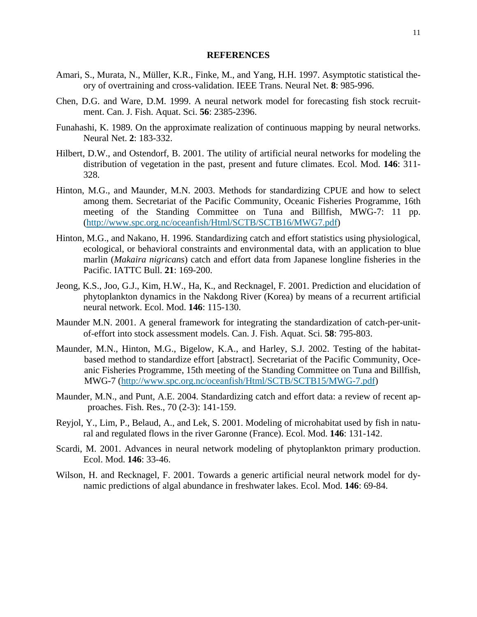### **REFERENCES**

- <span id="page-12-0"></span>Amari, S., Murata, N., Müller, K.R., Finke, M., and Yang, H.H. 1997. Asymptotic statistical theory of overtraining and cross-validation. IEEE Trans. Neural Net. **8**: 985-996.
- Chen, D.G. and Ware, D.M. 1999. A neural network model for forecasting fish stock recruitment. Can. J. Fish. Aquat. Sci. **56**: 2385-2396.
- Funahashi, K. 1989. On the approximate realization of continuous mapping by neural networks. Neural Net. **2**: 183-332.
- Hilbert, D.W., and Ostendorf, B. 2001. The utility of artificial neural networks for modeling the distribution of vegetation in the past, present and future climates. Ecol. Mod. **146**: 311- 328.
- Hinton, M.G., and Maunder, M.N. 2003. Methods for standardizing CPUE and how to select among them. Secretariat of the Pacific Community, Oceanic Fisheries Programme, 16th meeting of the Standing Committee on Tuna and Billfish, MWG-7: 11 pp. [\(http://www.spc.org.nc/oceanfish/Html/SCTB/SCTB16/MWG7.pdf](http://www.spc.org.nc/oceanfish/Html/SCTB/SCTB16/MWG7.pdf))
- Hinton, M.G., and Nakano, H. 1996. Standardizing catch and effort statistics using physiological, ecological, or behavioral constraints and environmental data, with an application to blue marlin (*Makaira nigricans*) catch and effort data from Japanese longline fisheries in the Pacific. IATTC Bull. **21**: 169-200.
- Jeong, K.S., Joo, G.J., Kim, H.W., Ha, K., and Recknagel, F. 2001. Prediction and elucidation of phytoplankton dynamics in the Nakdong River (Korea) by means of a recurrent artificial neural network. Ecol. Mod. **146**: 115-130.
- Maunder M.N. 2001. A general framework for integrating the standardization of catch-per-unitof-effort into stock assessment models. Can. J. Fish. Aquat. Sci. **58**: 795-803.
- Maunder, M.N., Hinton, M.G., Bigelow, K.A., and Harley, S.J. 2002. [Testing of the habitat](http://www.spc.org.nc/OceanFish/Html/SCTB/SCTB15/MWG-7.pdf)[based method to standardize effort](http://www.spc.org.nc/OceanFish/Html/SCTB/SCTB15/MWG-7.pdf) [abstract]. Secretariat of the Pacific Community, Oceanic Fisheries Programme, 15th meeting of the Standing Committee on Tuna and Billfish, MWG-7 ([http://www.spc.org.nc/oceanfish/Html/SCTB/SCTB15/MWG-7.pdf\)](http://www.spc.org.nc/oceanfish/Html/SCTB/SCTB15/MWG-7.pdf)
- Maunder, M.N., and Punt, A.E. 2004. Standardizing catch and effort data: a review of recent approaches. Fish. Res., 70 (2-3): 141-159.
- Reyjol, Y., Lim, P., Belaud, A., and Lek, S. 2001. Modeling of microhabitat used by fish in natural and regulated flows in the river Garonne (France). Ecol. Mod. **146**: 131-142.
- Scardi, M. 2001. Advances in neural network modeling of phytoplankton primary production. Ecol. Mod. **146**: 33-46.
- Wilson, H. and Recknagel, F. 2001. Towards a generic artificial neural network model for dynamic predictions of algal abundance in freshwater lakes. Ecol. Mod. **146**: 69-84.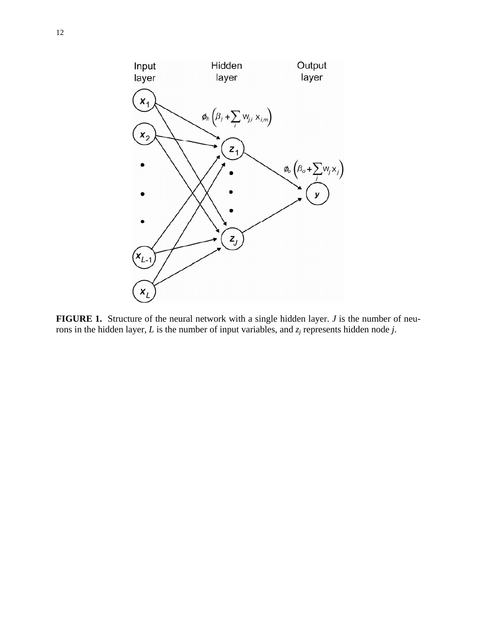<span id="page-13-0"></span>

**FIGURE 1.** Structure of the neural network with a single hidden layer. *J* is the number of neurons in the hidden layer, *L* is the number of input variables, and *zj* represents hidden node *j*.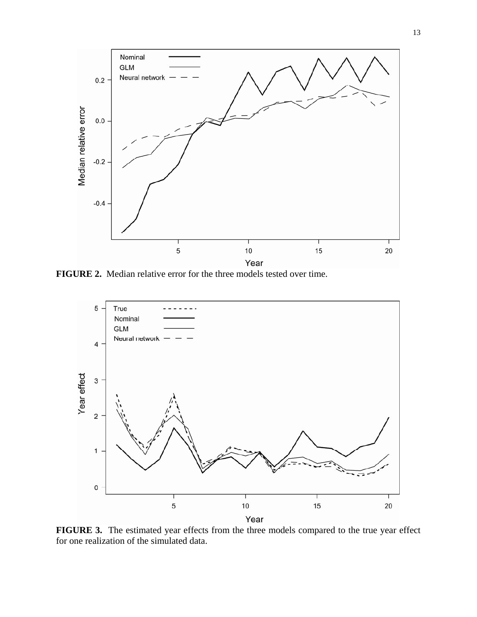

**FIGURE 2.** Median relative error for the three models tested over time.



FIGURE 3. The estimated year effects from the three models compared to the true year effect for one realization of the simulated data.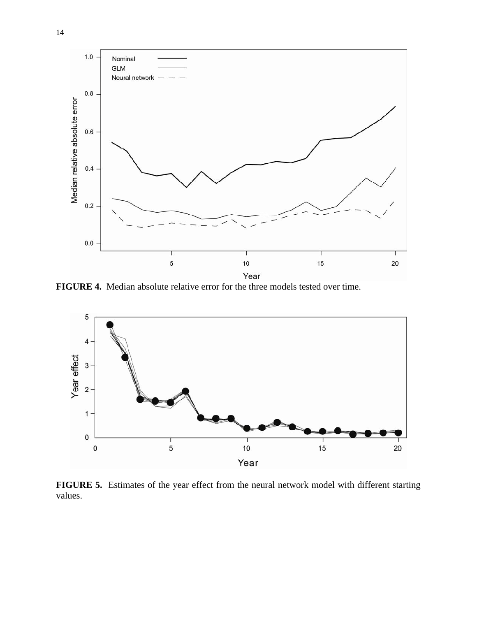

**FIGURE 4.** Median absolute relative error for the three models tested over time.



**FIGURE 5.** Estimates of the year effect from the neural network model with different starting values.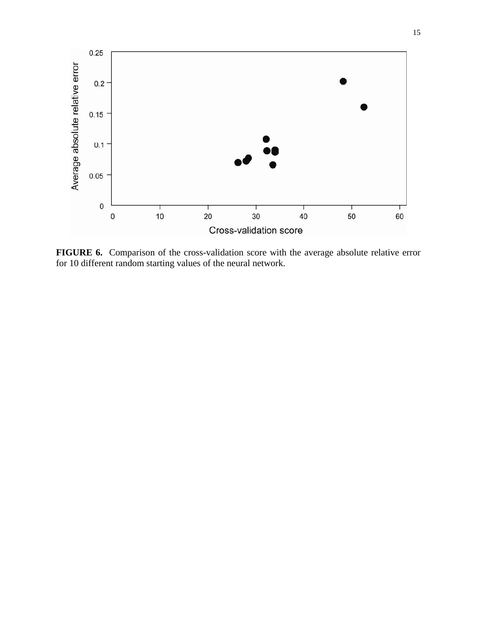

**FIGURE 6.** Comparison of the cross-validation score with the average absolute relative error for 10 different random starting values of the neural network.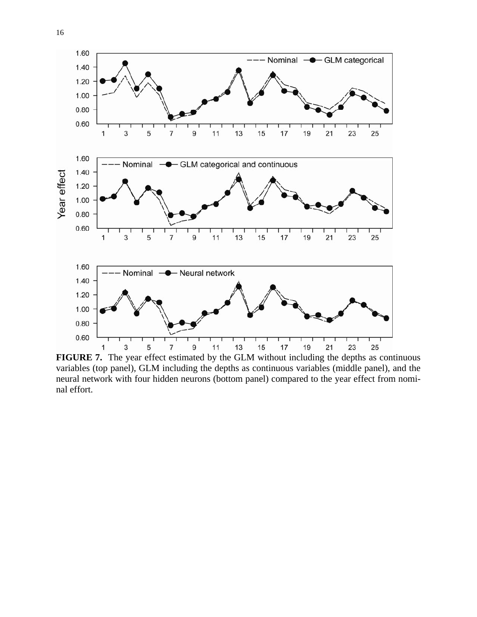

**FIGURE 7.** The year effect estimated by the GLM without including the depths as continuous variables (top panel), GLM including the depths as continuous variables (middle panel), and the neural network with four hidden neurons (bottom panel) compared to the year effect from nominal effort.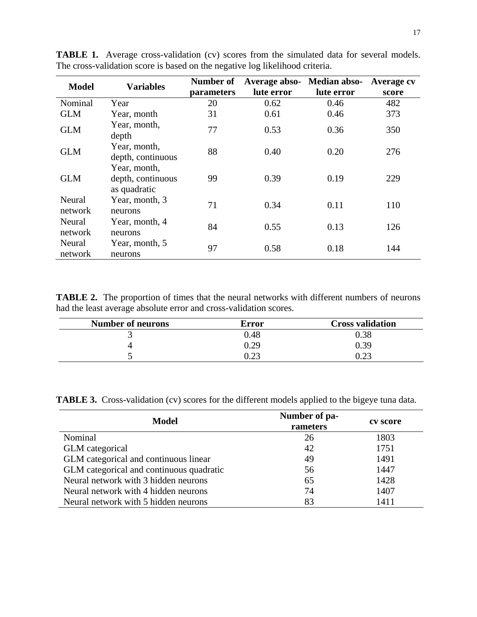| <b>Model</b>      | <b>Variables</b>                                  | Number of<br>parameters | Average abso-<br>lute error | Median abso-<br>lute error | Average cv<br>score |
|-------------------|---------------------------------------------------|-------------------------|-----------------------------|----------------------------|---------------------|
| Nominal           | Year                                              | 20                      | 0.62                        | 0.46                       | 482                 |
| <b>GLM</b>        | Year, month                                       | 31                      | 0.61                        | 0.46                       | 373                 |
| <b>GLM</b>        | Year, month,<br>depth                             | 77                      | 0.53                        | 0.36                       | 350                 |
| GLM               | Year, month,<br>depth, continuous                 | 88                      | 0.40                        | 0.20                       | 276                 |
| <b>GLM</b>        | Year, month,<br>depth, continuous<br>as quadratic | 99                      | 0.39                        | 0.19                       | 229                 |
| Neural<br>network | Year, month, 3<br>neurons                         | 71                      | 0.34                        | 0.11                       | 110                 |
| Neural<br>network | Year, month, 4<br>neurons                         | 84                      | 0.55                        | 0.13                       | 126                 |
| Neural<br>network | Year, month, 5<br>neurons                         | 97                      | 0.58                        | 0.18                       | 144                 |

<span id="page-18-0"></span>TABLE 1. Average cross-validation (cv) scores from the simulated data for several models. The cross-validation score is based on the negative log likelihood criteria.

**TABLE 2.** The proportion of times that the neural networks with different numbers of neurons had the least average absolute error and cross-validation scores.

| <b>Number of neurons</b> | Error                      | <b>Cross validation</b> |
|--------------------------|----------------------------|-------------------------|
|                          | 0.48                       | $0.38\,$                |
|                          | 0.29                       | 0.39                    |
|                          | . $\cap$ $\cap$<br>ے گے وا | ∩ วว                    |

|  |  |  |  |  | <b>TABLE 3.</b> Cross-validation (cv) scores for the different models applied to the bigeye tuna data. |
|--|--|--|--|--|--------------------------------------------------------------------------------------------------------|
|--|--|--|--|--|--------------------------------------------------------------------------------------------------------|

| <b>Model</b>                             | Number of pa-<br>rameters | cv score |
|------------------------------------------|---------------------------|----------|
| Nominal                                  | 26                        | 1803     |
| GLM categorical                          | 42                        | 1751     |
| GLM categorical and continuous linear    | 49                        | 1491     |
| GLM categorical and continuous quadratic | 56                        | 1447     |
| Neural network with 3 hidden neurons     | 65                        | 1428     |
| Neural network with 4 hidden neurons     | 74                        | 1407     |
| Neural network with 5 hidden neurons     | 83                        | 1411     |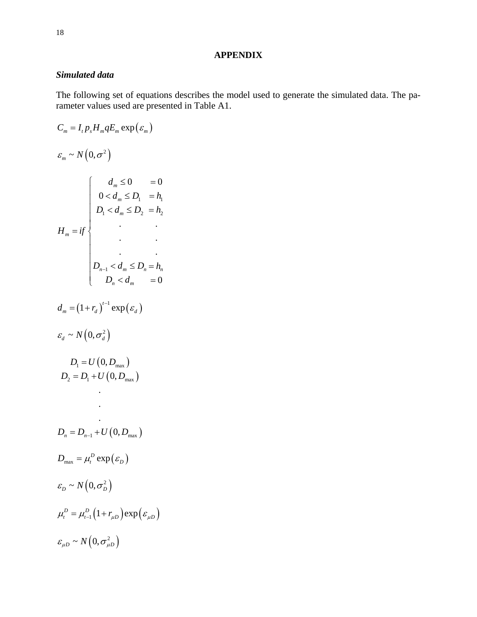## **APPENDIX**

## <span id="page-19-0"></span>*Simulated data*

The following set of equations describes the model used to generate the simulated data. The parameter values used are presented in Table A1.

$$
C_m = I_t p_s H_m q E_m \exp(\varepsilon_m)
$$
  
\n
$$
\varepsilon_m \sim N(0, \sigma^2)
$$
  
\n
$$
\sigma_m \leq N(0, \sigma^2)
$$
  
\n
$$
\sigma_m \leq 0
$$
  
\n
$$
\sigma_m \leq 0
$$
  
\n
$$
\sigma_m \leq 0
$$
  
\n
$$
\sigma_m \leq 0
$$
  
\n
$$
\sigma_m \leq 0
$$
  
\n
$$
\sigma_m \leq 0
$$
  
\n
$$
\sigma_m \leq 0
$$
  
\n
$$
\sigma_m \leq 0
$$
  
\n
$$
\sigma_m \leq 0
$$
  
\n
$$
\sigma_m \leq 0
$$
  
\n
$$
\sigma_m \leq 0
$$
  
\n
$$
\sigma_m \leq 0
$$
  
\n
$$
\sigma_m \leq 0
$$
  
\n
$$
\sigma_m \leq 0
$$
  
\n
$$
\sigma_m \leq 0
$$
  
\n
$$
\sigma_m \leq 0
$$
  
\n
$$
\sigma_m \leq 0
$$
  
\n
$$
\sigma_m \leq 0
$$
  
\n
$$
\sigma_m \leq 0
$$
  
\n
$$
\sigma_m \leq 0
$$
  
\n
$$
\sigma_m \geq 0
$$
  
\n
$$
\sigma_m \geq 0
$$
  
\n
$$
\sigma_m \geq 0
$$
  
\n
$$
\sigma_m \geq 0
$$
  
\n
$$
\sigma_m \geq 0
$$
  
\n
$$
\sigma_m \geq 0
$$
  
\n
$$
\sigma_m \geq 0
$$
  
\n
$$
\sigma_m \geq 0
$$
  
\n
$$
\sigma_m \geq 0
$$
  
\n
$$
\sigma_m \geq 0
$$
  
\n
$$
\sigma_m \geq 0
$$
  
\n
$$
\sigma_m \geq 0
$$
  
\n
$$
\sigma_m \geq 0
$$
  
\n
$$
\sigma_m \geq 0
$$
  
\n
$$
\sigma_m \geq 0
$$
  
\n
$$
\sigma_m \geq 0
$$
  
\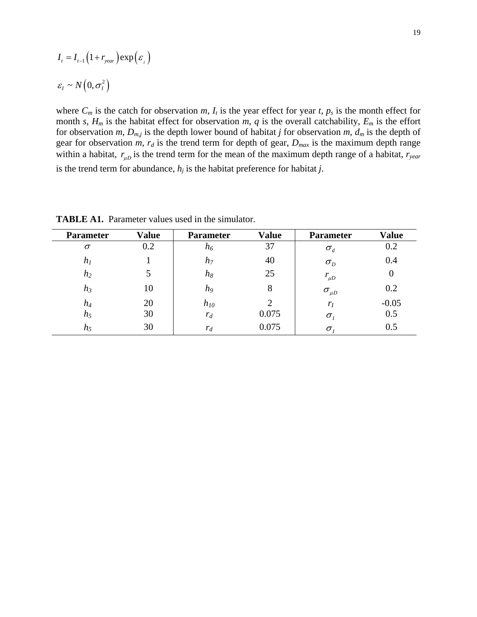$$
I_{t} = I_{t-1} (1 + r_{year}) \exp(\varepsilon_{t})
$$

$$
\varepsilon_{t} \sim N(0, \sigma_{t}^{2})
$$

where  $C_m$  is the catch for observation  $m$ ,  $I_t$  is the year effect for year  $t$ ,  $p_s$  is the month effect for month *s*,  $H_m$  is the habitat effect for observation *m*, *q* is the overall catchability,  $E_m$  is the effort for observation *m*,  $D_{m,j}$  is the depth lower bound of habitat *j* for observation *m*,  $d_m$  is the depth of gear for observation  $m$ ,  $r_d$  is the trend term for depth of gear,  $D_{max}$  is the maximum depth range within a habitat,  $r_{\mu D}$  is the trend term for the mean of the maximum depth range of a habitat,  $r_{\nu e a r}$ is the trend term for abundance,  $h_j$  is the habitat preference for habitat  $j$ .

| <b>Parameter</b> | <b>Value</b> | <b>Parameter</b> | <b>Value</b>   | <b>Parameter</b> | <b>Value</b> |
|------------------|--------------|------------------|----------------|------------------|--------------|
| $\sigma$         | 0.2          | n <sub>6</sub>   | 37             | $\sigma_{\rm d}$ | 0.2          |
| $h_I$            |              | $h_7$            | 40             | $\sigma_{D}$     | 0.4          |
| $h_2$            | 5            | $h_8$            | 25             | $r_{\mu D}$      | $\theta$     |
| $h_3$            | 10           | h <sub>9</sub>   | 8              | $\sigma_{\mu D}$ | 0.2          |
| $h_4$            | 20           | $h_{10}$         | $\overline{2}$ | $r_I$            | $-0.05$      |
| $h_5$            | 30           | $r_d$            | 0.075          | $\sigma$         | 0.5          |
| $h_5$            | 30           | $r_d$            | 0.075          | $\sigma$         | 0.5          |

**TABLE A1.** Parameter values used in the simulator.